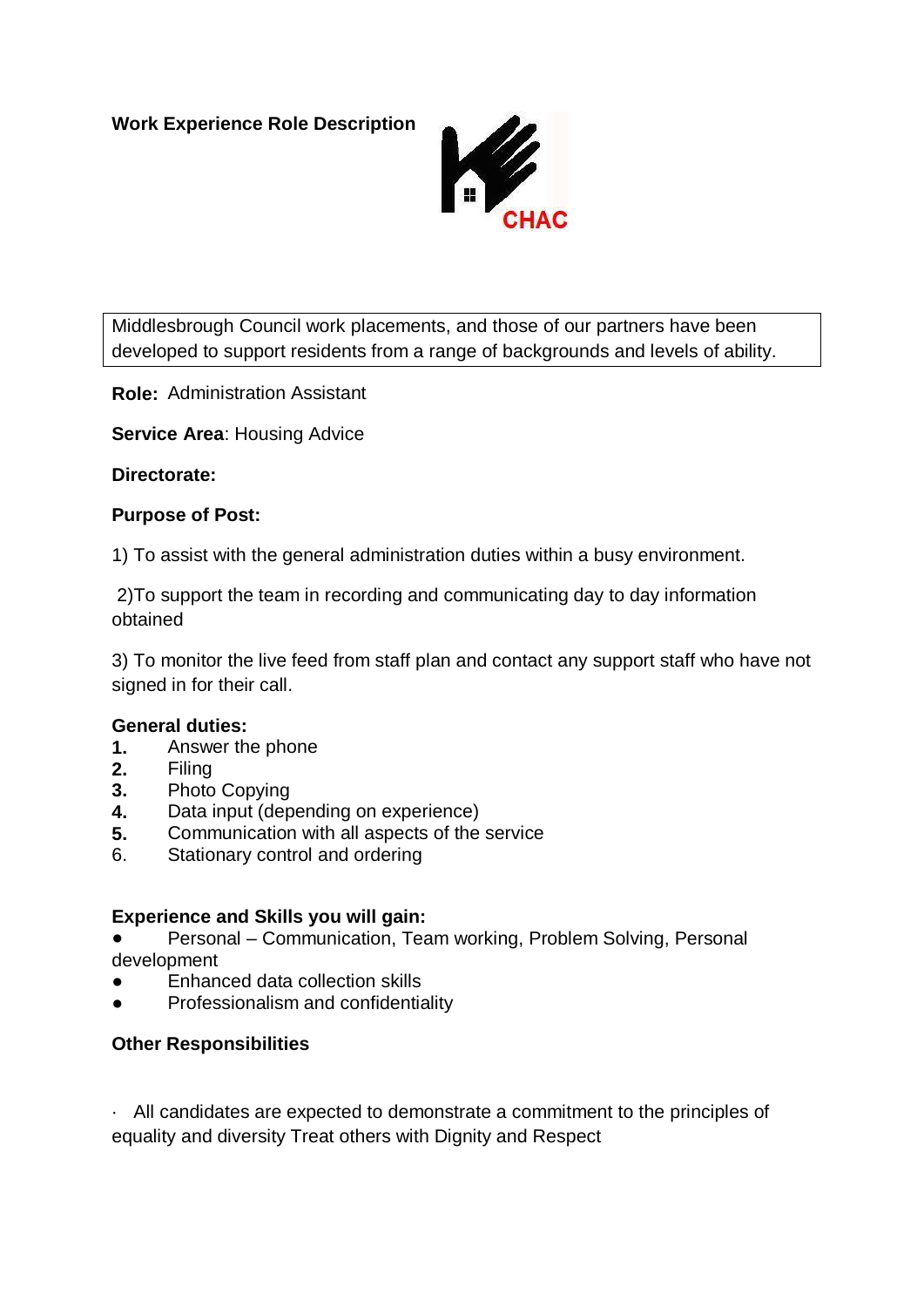

Middlesbrough Council work placements, and those of our partners have been developed to support residents from a range of backgrounds and levels of ability.

**Role:** Administration Assistant

**Service Area**: Housing Advice

# **Directorate:**

# **Purpose of Post:**

1) To assist with the general administration duties within a busy environment.

2)To support the team in recording and communicating day to day information obtained

3) To monitor the live feed from staff plan and contact any support staff who have not signed in for their call.

### **General duties:**

- **1.** Answer the phone
- **2.** Filing
- **3.** Photo Copying
- **4.** Data input (depending on experience)
- **5.** Communication with all aspects of the service
- 6. Stationary control and ordering

### **Experience and Skills you will gain:**

Personal – Communication, Team working, Problem Solving, Personal development

- Enhanced data collection skills
- Professionalism and confidentiality

# **Other Responsibilities**

· All candidates are expected to demonstrate a commitment to the principles of equality and diversity Treat others with Dignity and Respect